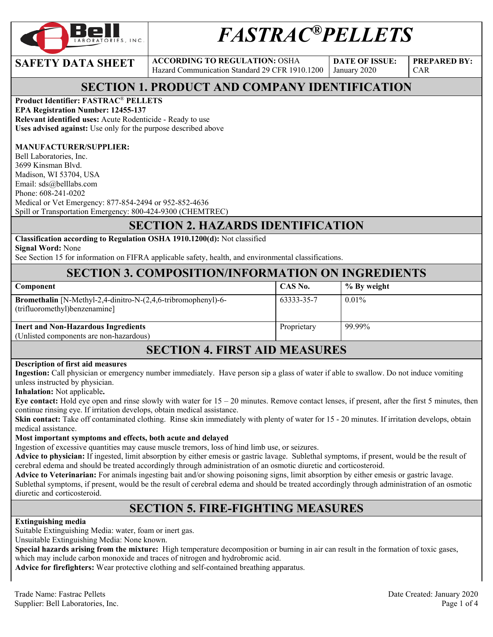

# *FASTRAC®PELLETS*

**SAFETY DATA SHEET** ACCORDING TO REGULATION: OSHA Hazard Communication Standard 29 CFR 1910.1200

January 2020

**DATE OF ISSUE:** 

**PREPARED BY:**  CAR

#### **SECTION 1. PRODUCT AND COMPANY IDENTIFICATION**

#### **Product Identifier: FASTRAC**® **PELLETS**

**EPA Registration Number: 12455-137 Relevant identified uses:** Acute Rodenticide - Ready to use **Uses advised against:** Use only for the purpose described above

#### **MANUFACTURER/SUPPLIER:**

Bell Laboratories, Inc. 3699 Kinsman Blvd. Madison, WI 53704, USA Email: sds@belllabs.com Phone: 608-241-0202 Medical or Vet Emergency: 877-854-2494 or 952-852-4636 Spill or Transportation Emergency: 800-424-9300 (CHEMTREC)

### **SECTION 2. HAZARDS IDENTIFICATION**

### **Classification according to Regulation OSHA 1910.1200(d):** Not classified

**Signal Word:** None

See Section 15 for information on FIFRA applicable safety, health, and environmental classifications.

#### **SECTION 3. COMPOSITION/INFORMATION ON INGREDIENTS**

| Component                                                                                             | CAS No.     | % By weight |
|-------------------------------------------------------------------------------------------------------|-------------|-------------|
| <b>Bromethalin</b> [N-Methyl-2,4-dinitro-N-(2,4,6-tribromophenyl)-6-<br>(trifluoromethyl)benzenamine] | 63333-35-7  | $0.01\%$    |
| <b>Inert and Non-Hazardous Ingredients</b><br>(Unlisted components are non-hazardous)                 | Proprietary | 99.99%      |
|                                                                                                       |             |             |

#### **SECTION 4. FIRST AID MEASURES**

#### **Description of first aid measures**

**Ingestion:** Call physician or emergency number immediately. Have person sip a glass of water if able to swallow. Do not induce vomiting unless instructed by physician.

**Inhalation:** Not applicable**.** 

**Eye contact:** Hold eye open and rinse slowly with water for  $15 - 20$  minutes. Remove contact lenses, if present, after the first 5 minutes, then continue rinsing eye. If irritation develops, obtain medical assistance.

**Skin contact:** Take off contaminated clothing. Rinse skin immediately with plenty of water for 15 - 20 minutes. If irritation develops, obtain medical assistance.

#### **Most important symptoms and effects, both acute and delayed**

Ingestion of excessive quantities may cause muscle tremors, loss of hind limb use, or seizures.

**Advice to physician:** If ingested, limit absorption by either emesis or gastric lavage. Sublethal symptoms, if present, would be the result of cerebral edema and should be treated accordingly through administration of an osmotic diuretic and corticosteroid.

**Advice to Veterinarian:** For animals ingesting bait and/or showing poisoning signs, limit absorption by either emesis or gastric lavage. Sublethal symptoms, if present, would be the result of cerebral edema and should be treated accordingly through administration of an osmotic diuretic and corticosteroid.

# **SECTION 5. FIRE-FIGHTING MEASURES**

#### **Extinguishing media**

Suitable Extinguishing Media: water, foam or inert gas.

Unsuitable Extinguishing Media: None known.

**Special hazards arising from the mixture:** High temperature decomposition or burning in air can result in the formation of toxic gases, which may include carbon monoxide and traces of nitrogen and hydrobromic acid.

**Advice for firefighters:** Wear protective clothing and self-contained breathing apparatus.

Trade Name: Fastrac Pellets **Date Created: January 2020** Date Created: January 2020 Supplier: Bell Laboratories, Inc. 2008. The state of the state of the state of the state of the state of the state of the state of the state of the state of the state of the state of the state of the state of the state of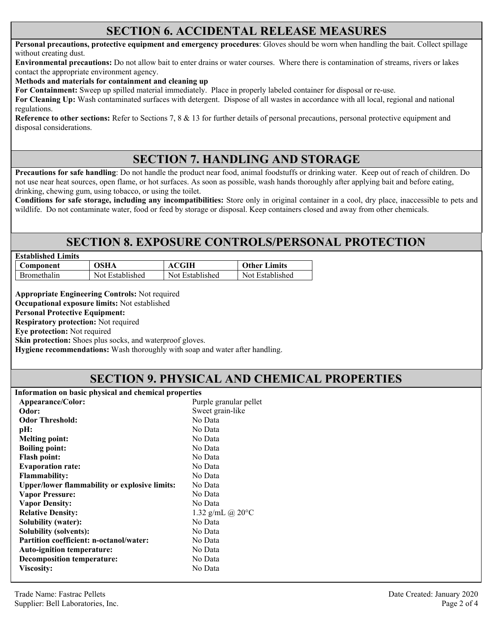#### **SECTION 6. ACCIDENTAL RELEASE MEASURES**

**Personal precautions, protective equipment and emergency procedures**: Gloves should be worn when handling the bait. Collect spillage without creating dust.

**Environmental precautions:** Do not allow bait to enter drains or water courses. Where there is contamination of streams, rivers or lakes contact the appropriate environment agency.

**Methods and materials for containment and cleaning up**

**For Containment:** Sweep up spilled material immediately. Place in properly labeled container for disposal or re-use.

**For Cleaning Up:** Wash contaminated surfaces with detergent. Dispose of all wastes in accordance with all local, regional and national regulations.

**Reference to other sections:** Refer to Sections 7, 8 & 13 for further details of personal precautions, personal protective equipment and disposal considerations.

### **SECTION 7. HANDLING AND STORAGE**

**Precautions for safe handling**: Do not handle the product near food, animal foodstuffs or drinking water. Keep out of reach of children. Do not use near heat sources, open flame, or hot surfaces. As soon as possible, wash hands thoroughly after applying bait and before eating, drinking, chewing gum, using tobacco, or using the toilet.

**Conditions for safe storage, including any incompatibilities:** Store only in original container in a cool, dry place, inaccessible to pets and wildlife. Do not contaminate water, food or feed by storage or disposal. Keep containers closed and away from other chemicals.

### **SECTION 8. EXPOSURE CONTROLS/PERSONAL PROTECTION**

| <b>Established Limits</b> |                 |                 |                     |
|---------------------------|-----------------|-----------------|---------------------|
| Component                 | <b>OSHA</b>     | <b>ACGIH</b>    | <b>Other Limits</b> |
| <b>Bromethalin</b>        | Not Established | Not Established | Not Established     |

**Appropriate Engineering Controls:** Not required

**Occupational exposure limits:** Not established

**Personal Protective Equipment:** 

**Respiratory protection:** Not required

**Eye protection:** Not required

**Skin protection:** Shoes plus socks, and waterproof gloves.

**Hygiene recommendations:** Wash thoroughly with soap and water after handling.

#### **SECTION 9. PHYSICAL AND CHEMICAL PROPERTIES**

| Appearance/Color:<br>Purple granular pellet<br>Sweet grain-like<br>Odor:<br>No Data<br><b>Odor Threshold:</b><br>No Data<br>pH:<br>No Data<br><b>Melting point:</b><br>No Data<br><b>Boiling point:</b><br>No Data<br><b>Flash point:</b><br>No Data<br><b>Evaporation rate:</b><br>No Data<br><b>Flammability:</b><br>No Data<br><b>Upper/lower flammability or explosive limits:</b><br>No Data<br><b>Vapor Pressure:</b><br>No Data<br><b>Vapor Density:</b><br>1.32 g/mL @ $20^{\circ}$ C<br><b>Relative Density:</b><br>No Data<br><b>Solubility (water):</b><br><b>Solubility (solvents):</b><br>No Data<br>No Data<br><b>Partition coefficient: n-octanol/water:</b><br>No Data<br><b>Auto-ignition temperature:</b><br>No Data<br>Decomposition temperature:<br>No Data<br><b>Viscosity:</b> | Information on basic physical and chemical properties |  |
|------------------------------------------------------------------------------------------------------------------------------------------------------------------------------------------------------------------------------------------------------------------------------------------------------------------------------------------------------------------------------------------------------------------------------------------------------------------------------------------------------------------------------------------------------------------------------------------------------------------------------------------------------------------------------------------------------------------------------------------------------------------------------------------------------|-------------------------------------------------------|--|
|                                                                                                                                                                                                                                                                                                                                                                                                                                                                                                                                                                                                                                                                                                                                                                                                      |                                                       |  |
|                                                                                                                                                                                                                                                                                                                                                                                                                                                                                                                                                                                                                                                                                                                                                                                                      |                                                       |  |
|                                                                                                                                                                                                                                                                                                                                                                                                                                                                                                                                                                                                                                                                                                                                                                                                      |                                                       |  |
|                                                                                                                                                                                                                                                                                                                                                                                                                                                                                                                                                                                                                                                                                                                                                                                                      |                                                       |  |
|                                                                                                                                                                                                                                                                                                                                                                                                                                                                                                                                                                                                                                                                                                                                                                                                      |                                                       |  |
|                                                                                                                                                                                                                                                                                                                                                                                                                                                                                                                                                                                                                                                                                                                                                                                                      |                                                       |  |
|                                                                                                                                                                                                                                                                                                                                                                                                                                                                                                                                                                                                                                                                                                                                                                                                      |                                                       |  |
|                                                                                                                                                                                                                                                                                                                                                                                                                                                                                                                                                                                                                                                                                                                                                                                                      |                                                       |  |
|                                                                                                                                                                                                                                                                                                                                                                                                                                                                                                                                                                                                                                                                                                                                                                                                      |                                                       |  |
|                                                                                                                                                                                                                                                                                                                                                                                                                                                                                                                                                                                                                                                                                                                                                                                                      |                                                       |  |
|                                                                                                                                                                                                                                                                                                                                                                                                                                                                                                                                                                                                                                                                                                                                                                                                      |                                                       |  |
|                                                                                                                                                                                                                                                                                                                                                                                                                                                                                                                                                                                                                                                                                                                                                                                                      |                                                       |  |
|                                                                                                                                                                                                                                                                                                                                                                                                                                                                                                                                                                                                                                                                                                                                                                                                      |                                                       |  |
|                                                                                                                                                                                                                                                                                                                                                                                                                                                                                                                                                                                                                                                                                                                                                                                                      |                                                       |  |
|                                                                                                                                                                                                                                                                                                                                                                                                                                                                                                                                                                                                                                                                                                                                                                                                      |                                                       |  |
|                                                                                                                                                                                                                                                                                                                                                                                                                                                                                                                                                                                                                                                                                                                                                                                                      |                                                       |  |
|                                                                                                                                                                                                                                                                                                                                                                                                                                                                                                                                                                                                                                                                                                                                                                                                      |                                                       |  |
|                                                                                                                                                                                                                                                                                                                                                                                                                                                                                                                                                                                                                                                                                                                                                                                                      |                                                       |  |
|                                                                                                                                                                                                                                                                                                                                                                                                                                                                                                                                                                                                                                                                                                                                                                                                      |                                                       |  |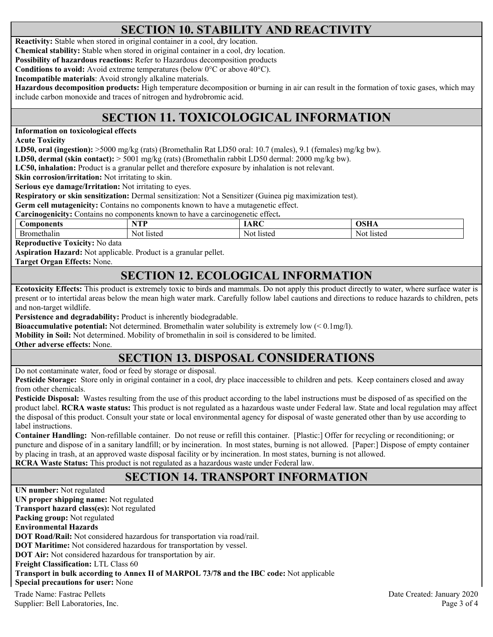# **SECTION 10. STABILITY AND REACTIVITY**

**Reactivity:** Stable when stored in original container in a cool, dry location.

**Chemical stability:** Stable when stored in original container in a cool, dry location.

**Possibility of hazardous reactions:** Refer to Hazardous decomposition products

**Conditions to avoid:** Avoid extreme temperatures (below 0°C or above 40°C).

**Incompatible materials**: Avoid strongly alkaline materials.

**Hazardous decomposition products:** High temperature decomposition or burning in air can result in the formation of toxic gases, which may include carbon monoxide and traces of nitrogen and hydrobromic acid.

# **SECTION 11. TOXICOLOGICAL INFORMATION**

**Information on toxicological effects** 

**Acute Toxicity** 

**LD50, oral (ingestion):** >5000 mg/kg (rats) (Bromethalin Rat LD50 oral: 10.7 (males), 9.1 (females) mg/kg bw).

**LD50, dermal (skin contact):** > 5001 mg/kg (rats) (Bromethalin rabbit LD50 dermal: 2000 mg/kg bw).

**LC50, inhalation:** Product is a granular pellet and therefore exposure by inhalation is not relevant.

**Skin corrosion/irritation:** Not irritating to skin.

**Serious eye damage/Irritation:** Not irritating to eyes.

**Respiratory or skin sensitization:** Dermal sensitization: Not a Sensitizer (Guinea pig maximization test).

**Germ cell mutagenicity:** Contains no components known to have a mutagenetic effect.

**Carcinogenicity:** Contains no components known to have a carcinogenetic effect**.** 

| Jomponents | VTD<br>. . | $\mathbf{D}$ | лен<br>VOLLA |
|------------|------------|--------------|--------------|
| nethalin   | Noi        | Not.         | listed       |
| . ) I '    | listed     | listed       | -Not         |

**Reproductive Toxicity:** No data

**Aspiration Hazard:** Not applicable. Product is a granular pellet.

**Target Organ Effects:** None.

#### **SECTION 12. ECOLOGICAL INFORMATION**

**Ecotoxicity Effects:** This product is extremely toxic to birds and mammals. Do not apply this product directly to water, where surface water is present or to intertidal areas below the mean high water mark. Carefully follow label cautions and directions to reduce hazards to children, pets and non-target wildlife.

**Persistence and degradability:** Product is inherently biodegradable.

**Bioaccumulative potential:** Not determined. Bromethalin water solubility is extremely low (< 0.1mg/l).

**Mobility in Soil:** Not determined. Mobility of bromethalin in soil is considered to be limited.

**Other adverse effects:** None.

# **SECTION 13. DISPOSAL CONSIDERATIONS**

Do not contaminate water, food or feed by storage or disposal.

**Pesticide Storage:** Store only in original container in a cool, dry place inaccessible to children and pets. Keep containers closed and away from other chemicals.

**Pesticide Disposal:** Wastes resulting from the use of this product according to the label instructions must be disposed of as specified on the product label. **RCRA waste status:** This product is not regulated as a hazardous waste under Federal law. State and local regulation may affect the disposal of this product. Consult your state or local environmental agency for disposal of waste generated other than by use according to label instructions.

**Container Handling:** Non-refillable container. Do not reuse or refill this container. [Plastic:] Offer for recycling or reconditioning; or puncture and dispose of in a sanitary landfill; or by incineration. In most states, burning is not allowed. [Paper:] Dispose of empty container by placing in trash, at an approved waste disposal facility or by incineration. In most states, burning is not allowed. **RCRA Waste Status:** This product is not regulated as a hazardous waste under Federal law.

# **SECTION 14. TRANSPORT INFORMATION**

Trade Name: Fastrac Pellets Date Created: January 2020 Supplier: Bell Laboratories, Inc. 2008 and 2008 and 2008 and 2008 and 2008 and 2008 and 2008 and 2008 and 2008 and 2008 and 2008 and 2008 and 2008 and 2008 and 2008 and 2008 and 2008 and 2008 and 2008 and 2008 and 2008 and **UN number:** Not regulated **UN proper shipping name:** Not regulated **Transport hazard class(es):** Not regulated **Packing group:** Not regulated **Environmental Hazards DOT Road/Rail:** Not considered hazardous for transportation via road/rail. **DOT Maritime:** Not considered hazardous for transportation by vessel. **DOT Air:** Not considered hazardous for transportation by air. **Freight Classification:** LTL Class 60 **Transport in bulk according to Annex II of MARPOL 73/78 and the IBC code:** Not applicable **Special precautions for user:** None